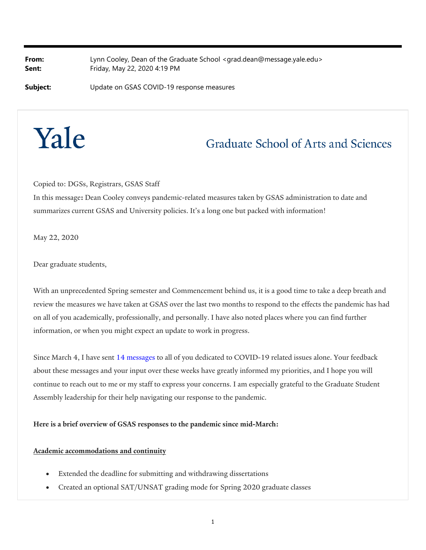**From:** Lynn Cooley, Dean of the Graduate School <grad.dean@message.yale.edu> **Sent:** Friday, May 22, 2020 4:19 PM

**Subject:** Update on GSAS COVID-19 response measures

# Yale

# Graduate School of Arts and Sciences

Copied to: DGSs, Registrars, GSAS Staff

In this message**:** Dean Cooley conveys pandemic-related measures taken by GSAS administration to date and summarizes current GSAS and University policies. It's a long one but packed with information!

May 22, 2020

Dear graduate students,

With an unprecedented Spring semester and Commencement behind us, it is a good time to take a deep breath and review the measures we have taken at GSAS over the last two months to respond to the effects the pandemic has had on all of you academically, professionally, and personally. I have also noted places where you can find further information, or when you might expect an update to work in progress.

Since March 4, I have sent 14 messages to all of you dedicated to COVID-19 related issues alone. Your feedback about these messages and your input over these weeks have greatly informed my priorities, and I hope you will continue to reach out to me or my staff to express your concerns. I am especially grateful to the Graduate Student Assembly leadership for their help navigating our response to the pandemic.

**Here is a brief overview of GSAS responses to the pandemic since mid-March:**

# **Academic accommodations and continuity**

- Extended the deadline for submitting and withdrawing dissertations
- Created an optional SAT/UNSAT grading mode for Spring 2020 graduate classes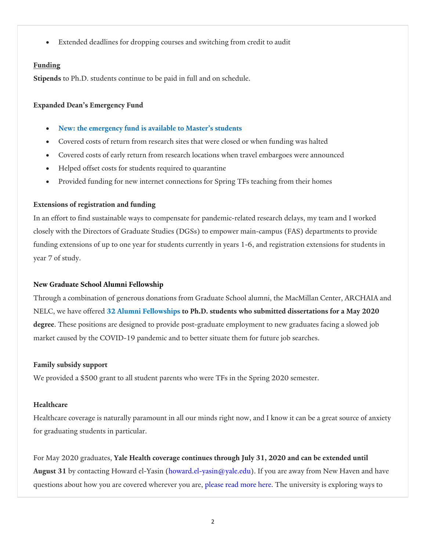Extended deadlines for dropping courses and switching from credit to audit

# **Funding**

**Stipends** to Ph.D. students continue to be paid in full and on schedule.

# **Expanded Dean's Emergency Fund**

- **New: the emergency fund is available to Master's students**
- Covered costs of return from research sites that were closed or when funding was halted
- Covered costs of early return from research locations when travel embargoes were announced
- Helped offset costs for students required to quarantine
- Provided funding for new internet connections for Spring TFs teaching from their homes

# **Extensions of registration and funding**

In an effort to find sustainable ways to compensate for pandemic-related research delays, my team and I worked closely with the Directors of Graduate Studies (DGSs) to empower main-campus (FAS) departments to provide funding extensions of up to one year for students currently in years 1-6, and registration extensions for students in year 7 of study.

# **New Graduate School Alumni Fellowship**

Through a combination of generous donations from Graduate School alumni, the MacMillan Center, ARCHAIA and NELC, we have offered **32 Alumni Fellowships to Ph.D. students who submitted dissertations for a May 2020 degree**. These positions are designed to provide post-graduate employment to new graduates facing a slowed job market caused by the COVID-19 pandemic and to better situate them for future job searches.

# **Family subsidy support**

We provided a \$500 grant to all student parents who were TFs in the Spring 2020 semester.

# **Healthcare**

Healthcare coverage is naturally paramount in all our minds right now, and I know it can be a great source of anxiety for graduating students in particular.

For May 2020 graduates, **Yale Health coverage continues through July 31, 2020 and can be extended until August 31** by contacting Howard el-Yasin (howard.el-yasin@yale.edu). If you are away from New Haven and have questions about how you are covered wherever you are, please read more here. The university is exploring ways to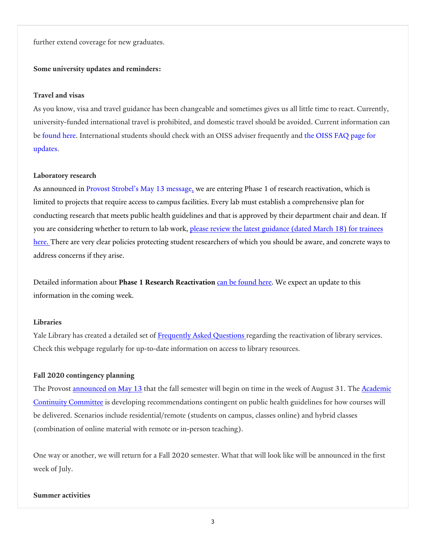further extend coverage for new graduates.

# **Some university updates and reminders:**

# **Travel and visas**

As you know, visa and travel guidance has been changeable and sometimes gives us all little time to react. Currently, university-funded international travel is prohibited, and domestic travel should be avoided. Current information can be found here. International students should check with an OISS adviser frequently and the OISS FAQ page for updates.

#### **Laboratory research**

As announced in Provost Strobel's May 13 message, we are entering Phase 1 of research reactivation, which is limited to projects that require access to campus facilities. Every lab must establish a comprehensive plan for conducting research that meets public health guidelines and that is approved by their department chair and dean. If you are considering whether to return to lab work, please review the latest guidance (dated March 18) for trainees here. There are very clear policies protecting student researchers of which you should be aware, and concrete ways to address concerns if they arise.

Detailed information about **Phase 1 Research Reactivation** can be found here. We expect an update to this information in the coming week.

#### **Libraries**

Yale Library has created a detailed set of Frequently Asked Questions regarding the reactivation of library services. Check this webpage regularly for up-to-date information on access to library resources.

#### **Fall 2020 contingency planning**

The Provost **announced on May 13** that the fall semester will begin on time in the week of August 31. The **Academic** Continuity Committee is developing recommendations contingent on public health guidelines for how courses will be delivered. Scenarios include residential/remote (students on campus, classes online) and hybrid classes (combination of online material with remote or in-person teaching).

One way or another, we will return for a Fall 2020 semester. What that will look like will be announced in the first week of July.

# **Summer activities**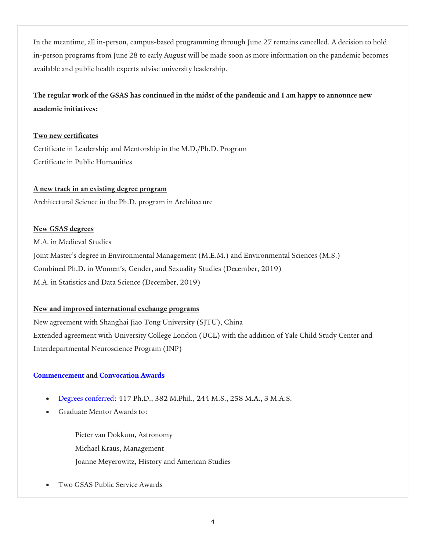In the meantime, all in-person, campus-based programming through June 27 remains cancelled. A decision to hold in-person programs from June 28 to early August will be made soon as more information on the pandemic becomes available and public health experts advise university leadership.

# **The regular work of the GSAS has continued in the midst of the pandemic and I am happy to announce new academic initiatives:**

# **Two new certificates**

Certificate in Leadership and Mentorship in the M.D./Ph.D. Program Certificate in Public Humanities

# **A new track in an existing degree program**

Architectural Science in the Ph.D. program in Architecture

# **New GSAS degrees**

M.A. in Medieval Studies Joint Master's degree in Environmental Management (M.E.M.) and Environmental Sciences (M.S.) Combined Ph.D. in Women's, Gender, and Sexuality Studies (December, 2019) M.A. in Statistics and Data Science (December, 2019)

# **New and improved international exchange programs**

New agreement with Shanghai Jiao Tong University (SJTU), China Extended agreement with University College London (UCL) with the addition of Yale Child Study Center and Interdepartmental Neuroscience Program (INP)

# **Commencement and Convocation Awards**

- Degrees conferred: 417 Ph.D., 382 M.Phil., 244 M.S., 258 M.A., 3 M.A.S.
- Graduate Mentor Awards to:

Pieter van Dokkum, Astronomy Michael Kraus, Management Joanne Meyerowitz, History and American Studies

Two GSAS Public Service Awards